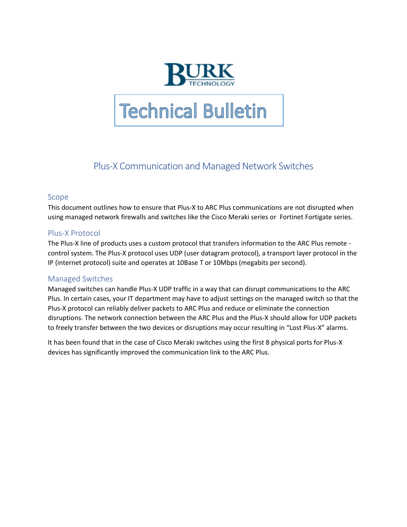

# **Technical Bulletin**

## Plus-X Communication and Managed Network Switches

#### Scope

This document outlines how to ensure that Plus-X to ARC Plus communications are not disrupted when using managed network firewalls and switches like the Cisco Meraki series or Fortinet Fortigate series.

#### Plus-X Protocol

The Plus-X line of products uses a custom protocol that transfers information to the ARC Plus remote control system. The Plus-X protocol uses UDP (user datagram protocol), a transport layer protocol in the IP (internet protocol) suite and operates at 10Base T or 10Mbps (megabits per second).

### Managed Switches

Managed switches can handle Plus-X UDP traffic in a way that can disrupt communications to the ARC Plus. In certain cases, your IT department may have to adjust settings on the managed switch so that the Plus-X protocol can reliably deliver packets to ARC Plus and reduce or eliminate the connection disruptions. The network connection between the ARC Plus and the Plus-X should allow for UDP packets to freely transfer between the two devices or disruptions may occur resulting in "Lost Plus-X" alarms.

It has been found that in the case of Cisco Meraki switches using the first 8 physical ports for Plus-X devices has significantly improved the communication link to the ARC Plus.